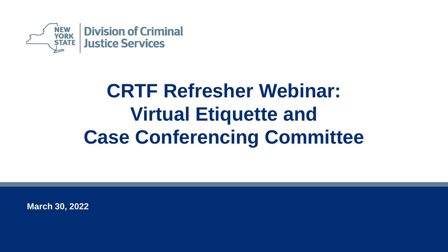

### **CRTF Refresher Webinar: Virtual Etiquette and Case Conferencing Committee**

**March 30, 2022**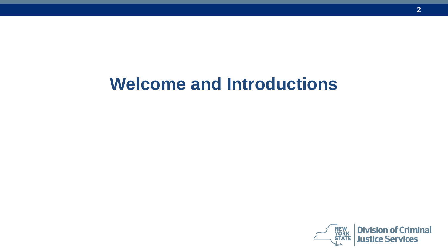#### **Welcome and Introductions**

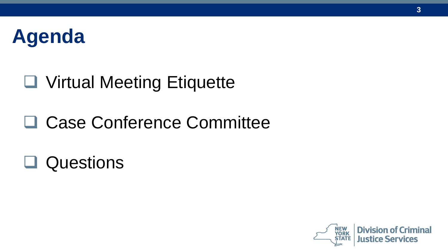

#### ❑ Virtual Meeting Etiquette

#### □ Case Conference Committee

❑ Questions

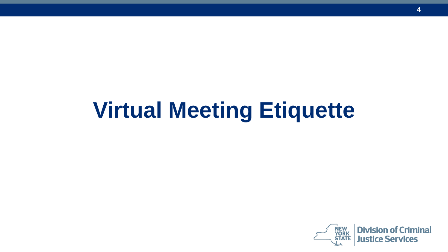# **Virtual Meeting Etiquette**

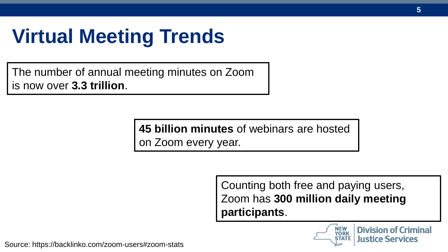### **Virtual Meeting Trends**

The number of annual meeting minutes on Zoom is now over **3.3 trillion**.

> **45 billion minutes** of webinars are hosted on Zoom every year.

> > Counting both free and paying users, Zoom has **300 million daily meeting participants**.



**Division of Criminal Justice Services** 

Source: https://backlinko.com/zoom-users#zoom-stats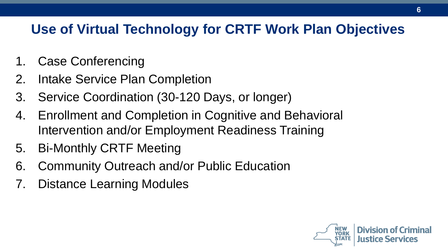#### **Use of Virtual Technology for CRTF Work Plan Objectives**

- 1. Case Conferencing
- 2. Intake Service Plan Completion
- 3. Service Coordination (30-120 Days, or longer)
- 4. Enrollment and Completion in Cognitive and Behavioral Intervention and/or Employment Readiness Training
- 5. Bi-Monthly CRTF Meeting
- 6. Community Outreach and/or Public Education
- 7. Distance Learning Modules

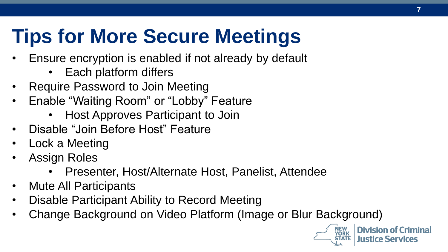# **Tips for More Secure Meetings**

- Ensure encryption is enabled if not already by default
	- Each platform differs
- Require Password to Join Meeting
- Enable "Waiting Room" or "Lobby" Feature
	- Host Approves Participant to Join
- Disable "Join Before Host" Feature
- Lock a Meeting
- Assign Roles
	- Presenter, Host/Alternate Host, Panelist, Attendee
- Mute All Participants
- Disable Participant Ability to Record Meeting
- Change Background on Video Platform (Image or Blur Background)



**Division of Criminal** Justice Services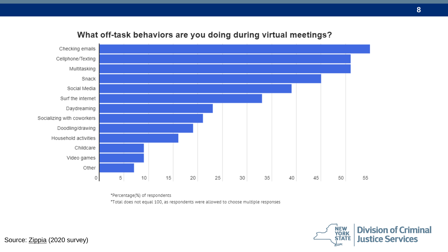

#### What off-task behaviors are you doing during virtual meetings?

"Percentage(%) of respondents

\*Total does not equal 100, as respondents were allowed to choose multiple responses



Source: [Zippia](https://www.zippia.com/advice/virtual-meetings-zoom-survey/) (2020 survey)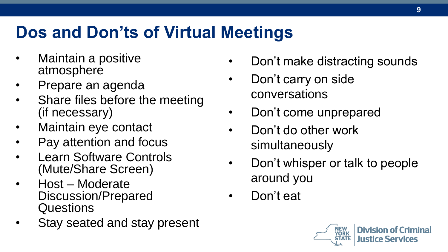#### **Dos and Don'ts of Virtual Meetings**

- Maintain a positive atmosphere
- Prepare an agenda
- Share files before the meeting (if necessary)
- Maintain eye contact
- Pay attention and focus
- Learn Software Controls (Mute/Share Screen)
- Host Moderate Discussion/Prepared Questions
- Stay seated and stay present
- Don't make distracting sounds
- Don't carry on side conversations
- Don't come unprepared
- Don't do other work simultaneously
- Don't whisper or talk to people around you
- Don't eat

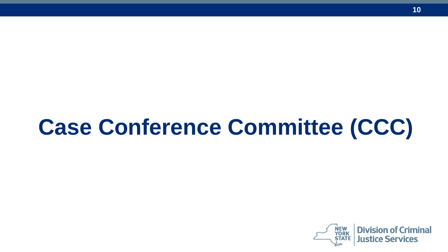# **Case Conference Committee (CCC)**

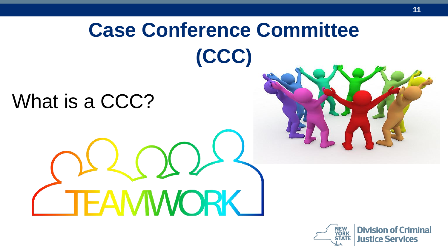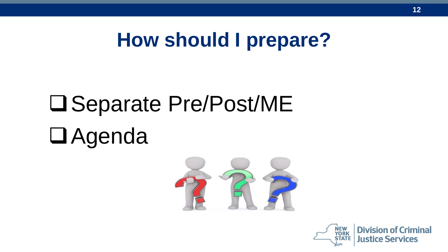#### **How should I prepare?**

# ❑Separate Pre/Post/ME

# ❑Agenda



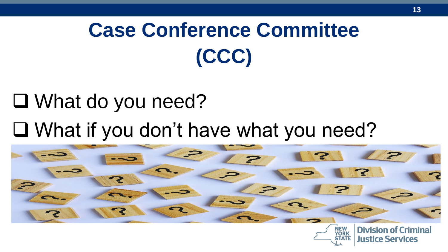# **Case Conference Committee (CCC)**

# ❑ What do you need? ❑ What if you don't have what you need?

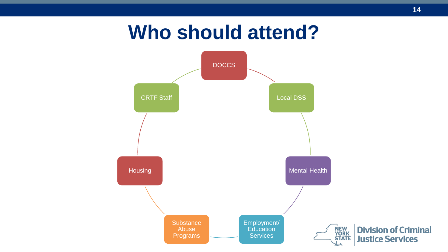#### **Who should attend?**

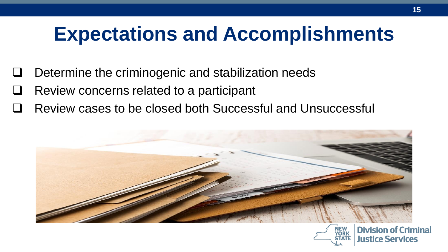### **Expectations and Accomplishments**

- Determine the criminogenic and stabilization needs
- ❑ Review concerns related to a participant
- ❑ Review cases to be closed both Successful and Unsuccessful

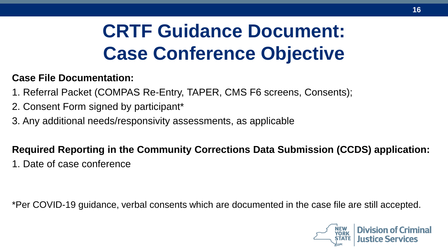### **CRTF Guidance Document: Case Conference Objective**

#### **Case File Documentation:**

- 1. Referral Packet (COMPAS Re-Entry, TAPER, CMS F6 screens, Consents);
- 2. Consent Form signed by participant\*
- 3. Any additional needs/responsivity assessments, as applicable

#### **Required Reporting in the Community Corrections Data Submission (CCDS) application:**

1. Date of case conference

\*Per COVID-19 guidance, verbal consents which are documented in the case file are still accepted.

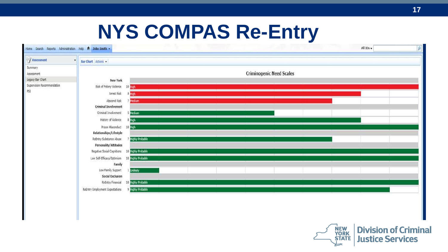#### **NYS COMPAS Re-Entry**

| Home Search Reports Administration Help ft John Smith . |                                               |                        |                                 | All IDs + | $\mathbf{Q}$ |
|---------------------------------------------------------|-----------------------------------------------|------------------------|---------------------------------|-----------|--------------|
| / Assessment<br>$\pmb{\mathrm{v}}$                      | Bar Chart Actions                             |                        |                                 |           |              |
| Summary<br>Assessment                                   |                                               |                        | <b>Criminogenic Need Scales</b> |           |              |
| Legacy Bar Chart                                        | <b>New York</b>                               |                        |                                 |           |              |
| Supervision Recommendation<br>PSI                       | Risk of Felony Violence 10 High               |                        |                                 |           |              |
|                                                         | Arrest Risk                                   | 8 High                 |                                 |           |              |
|                                                         | Abscond Risk                                  | Medium                 |                                 |           |              |
|                                                         | <b>Criminal Involvement</b>                   |                        |                                 |           |              |
|                                                         | Criminal Involvement                          | <b>S</b> Medium        |                                 |           |              |
|                                                         | History of Violence                           | 8 High                 |                                 |           |              |
|                                                         | Prison Misconduct 10 High                     |                        |                                 |           |              |
|                                                         | Relationships/Lifestyle                       |                        |                                 |           |              |
|                                                         | ReEntry Substance Abuse                       | <b>Highly Probable</b> |                                 |           |              |
|                                                         | <b>Personality/Attitudes</b>                  |                        |                                 |           |              |
|                                                         | Negative Social Cognitions 10 Highly Probable |                        |                                 |           |              |
|                                                         | Low Self-Efficacy/Optimism                    | 10 Highly Probable     |                                 |           |              |
|                                                         | Family                                        |                        |                                 |           |              |
|                                                         | Low Family Support                            | <b>Unlikely</b>        |                                 |           |              |
|                                                         | <b>Social Exclusion</b>                       |                        |                                 |           |              |
|                                                         | ReEntry Financial                             | 10 Highly Probable     |                                 |           |              |
|                                                         | ReEntry Employment Expectations               | 9 Highly Probable      |                                 |           |              |
|                                                         |                                               |                        |                                 |           |              |



**Division of Criminal Justice Services**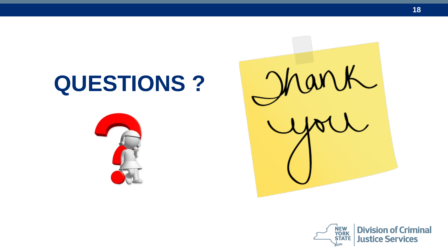# **QUESTIONS ?**



Mark